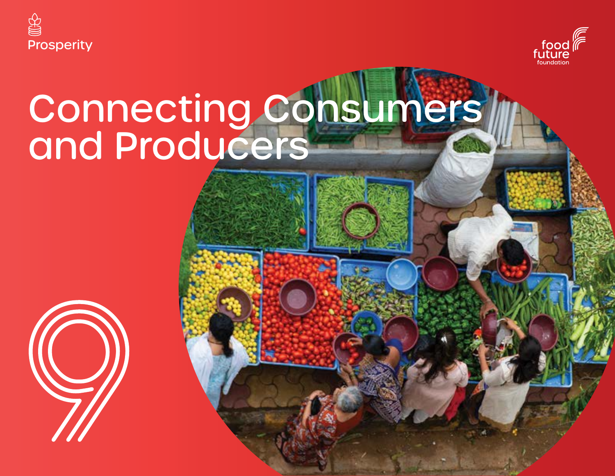



# Connecting Consumers and Producers

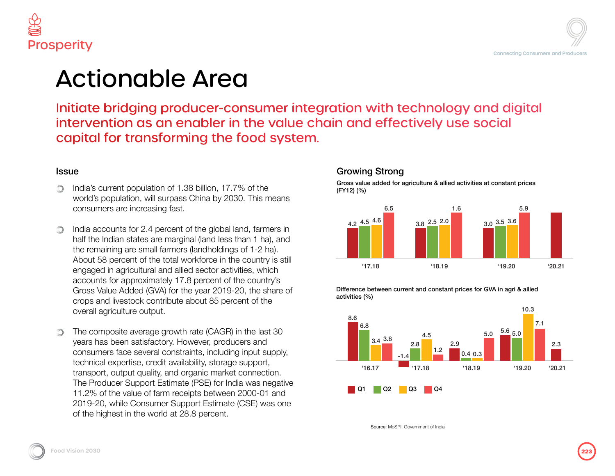





consumer integration with technology and digital  $\mathbf \cdot$  in the value chain and effectively use social e food system.

 $17.7\%$  of the 2030. This means

al land, farmers in iss than 1 ha), and ings of 1-2 ha). h the country is still activities, which of the country's 19-20, the share of bercent of the

 $R$ ) in the last 30 bducers and ding input supply, age support, ket connection. India was negative  $en$  2000-01 and ate (CSE) was one

#### Growing Strong

Gross value added for agriculture & allied activities at constant prices (FY12) (%)



Difference between current and constant prices for GVA in agri & allied activities (%)



Source: MoSPI, Government of India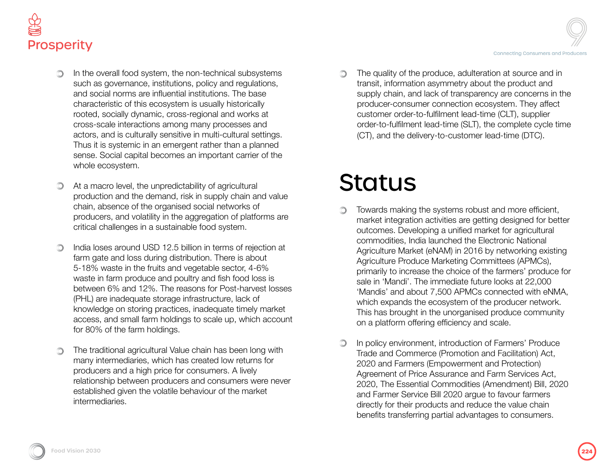



- In the overall food system, the non-technical subsystems such as governance, institutions, policy and regulations, and social norms are influential institutions. The base characteristic of this ecosystem is usually historically rooted, socially dynamic, cross-regional and works at cross-scale interactions among many processes and actors, and is culturally sensitive in multi-cultural settings. Thus it is systemic in an emergent rather than a planned sense. Social capital becomes an important carrier of the whole ecosystem.
- At a macro level, the unpredictability of agricultural production and the demand, risk in supply chain and value chain, absence of the organised social networks of producers, and volatility in the aggregation of platforms are critical challenges in a sustainable food system.
- ∩ India loses around USD 12.5 billion in terms of rejection at farm gate and loss during distribution. There is about 5-18% waste in the fruits and vegetable sector, 4-6% waste in farm produce and poultry and fish food loss is between 6% and 12%. The reasons for Post-harvest losses (PHL) are inadequate storage infrastructure, lack of knowledge on storing practices, inadequate timely market access, and small farm holdings to scale up, which account for 80% of the farm holdings.
- The traditional agricultural Value chain has been long with many intermediaries, which has created low returns for producers and a high price for consumers. A lively relationship between producers and consumers were never established given the volatile behaviour of the market intermediaries.

The quality of the produce, adulteration at source and in  $\circledcirc$ transit, information asymmetry about the product and supply chain, and lack of transparency are concerns in the producer-consumer connection ecosystem. They affect customer order-to-fulfilment lead-time (CLT), supplier order-to-fulfilment lead-time (SLT), the complete cycle time (CT), and the delivery-to-customer lead-time (DTC).

### **Status**

- Towards making the systems robust and more efficient, O market integration activities are getting designed for better outcomes. Developing a unified market for agricultural commodities, India launched the Electronic National Agriculture Market (eNAM) in 2016 by networking existing Agriculture Produce Marketing Committees (APMCs), primarily to increase the choice of the farmers' produce for sale in 'Mandi'. The immediate future looks at 22,000 'Mandis' and about 7,500 APMCs connected with eNMA, which expands the ecosystem of the producer network. This has brought in the unorganised produce community on a platform offering efficiency and scale.
- In policy environment, introduction of Farmers' Produce ∩ Trade and Commerce (Promotion and Facilitation) Act, 2020 and Farmers (Empowerment and Protection) Agreement of Price Assurance and Farm Services Act, 2020, The Essential Commodities (Amendment) Bill, 2020 and Farmer Service Bill 2020 argue to favour farmers directly for their products and reduce the value chain benefits transferring partial advantages to consumers.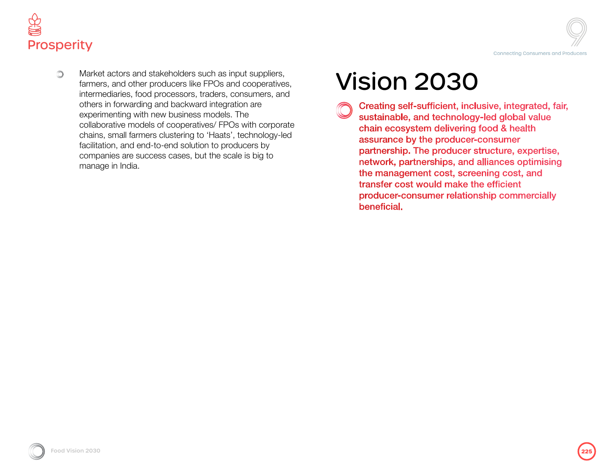

 $\circ$  Market actors and stakeholders such as input suppliers,<br>
farmers, and other producers like FPOs and cooperatives,<br>
intermediaries, food processors, traders, consumers, and Market actors and stakeholders such as input suppliers, farmers, and other producers like FPOs and cooperatives, intermediaries, food processors, traders, consumers, and others in forwarding and backward integration are experimenting with new business models. The collaborative models of cooperatives/ FPOs with corporate chains, small farmers clustering to 'Haats', technology-led facilitation, and end-to-end solution to producers by companies are success cases, but the scale is big to manage in India.

Creating self-sufficient, inclusive, integrated, fair, sustainable, and technology-led global value chain ecosystem delivering food & health assurance by the producer-consumer partnership. The producer structure, expertise, network, partnerships, and alliances optimising the management cost, screening cost, and transfer cost would make the efficient producer-consumer relationship commercially beneficial.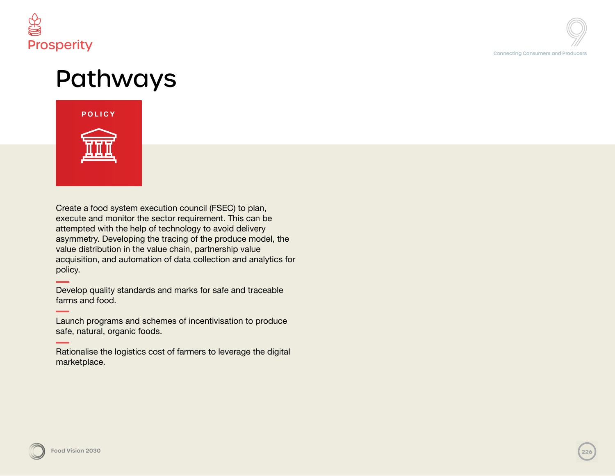

# Pathways



Create a food system execution council (FSEC) to plan, execute and monitor the sector requirement. This can be attempted with the help of technology to avoid delivery asymmetry. Developing the tracing of the produce model, the value distribution in the value chain, partnership value acquisition, and automation of data collection and analytics for policy.

Develop quality standards and marks for safe and traceable farms and food.

Launch programs and schemes of incentivisation to produce safe, natural, organic foods.

Rationalise the logistics cost of farmers to leverage the digital marketplace.

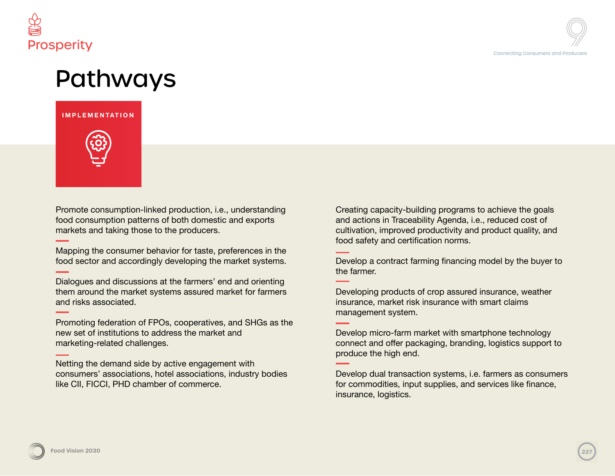

### Pathways

#### **IMPLEMENTATION**



Promote consumption-linked production, i.e., understanding food consumption patterns of both domestic and exports markets and taking those to the producers.

Mapping the consumer behavior for taste, preferences in the food sector and accordingly developing the market systems.

Dialogues and discussions at the farmers' end and orienting them around the market systems assured market for farmers and risks associated.

Promoting federation of FPOs, cooperatives, and SHGs as the new set of institutions to address the market and marketing-related challenges.

Netting the demand side by active engagement with consumers' associations, hotel associations, industry bodies like CII, FICCI, PHD chamber of commerce.

Creating capacity-building programs to achieve the goals and actions in Traceability Agenda, i.e., reduced cost of cultivation, improved productivity and product quality, and food safety and certification norms.

Develop a contract farming financing model by the buyer to the farmer.

Developing products of crop assured insurance, weather insurance, market risk insurance with smart claims management system.

Develop micro-farm market with smartphone technology connect and offer packaging, branding, logistics support to produce the high end.

Develop dual transaction systems, i.e. farmers as consumers for commodities, input supplies, and services like finance, insurance, logistics.